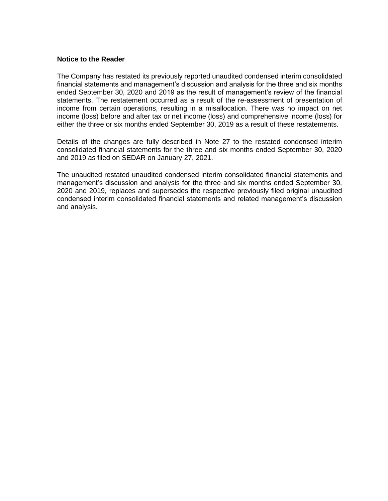# **Notice to the Reader**

The Company has restated its previously reported unaudited condensed interim consolidated financial statements and management's discussion and analysis for the three and six months ended September 30, 2020 and 2019 as the result of management's review of the financial statements. The restatement occurred as a result of the re-assessment of presentation of income from certain operations, resulting in a misallocation. There was no impact on net income (loss) before and after tax or net income (loss) and comprehensive income (loss) for either the three or six months ended September 30, 2019 as a result of these restatements.

Details of the changes are fully described in Note 27 to the restated condensed interim consolidated financial statements for the three and six months ended September 30, 2020 and 2019 as filed on SEDAR on January 27, 2021.

The unaudited restated unaudited condensed interim consolidated financial statements and management's discussion and analysis for the three and six months ended September 30, 2020 and 2019, replaces and supersedes the respective previously filed original unaudited condensed interim consolidated financial statements and related management's discussion and analysis.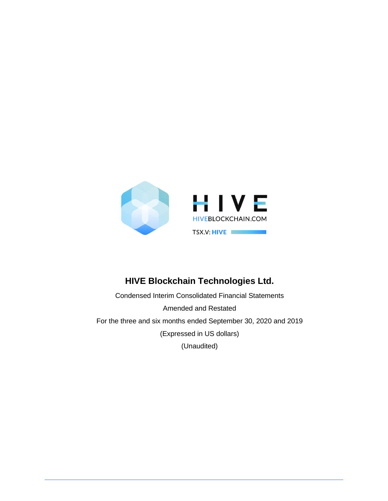

# **HIVE Blockchain Technologies Ltd.**

Condensed Interim Consolidated Financial Statements Amended and Restated For the three and six months ended September 30, 2020 and 2019 (Expressed in US dollars) (Unaudited)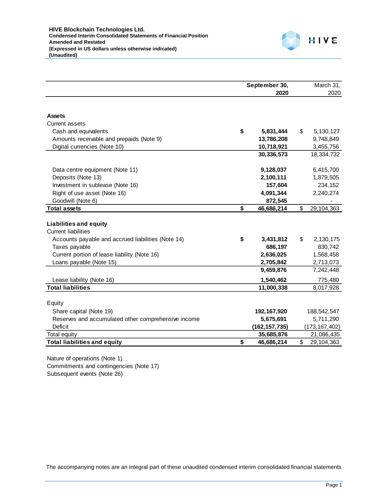

|                                                     | September 30, |                 |    | March 31,       |  |
|-----------------------------------------------------|---------------|-----------------|----|-----------------|--|
|                                                     |               | 2020            |    | 2020            |  |
|                                                     |               |                 |    |                 |  |
| <b>Assets</b>                                       |               |                 |    |                 |  |
| Current assets                                      |               |                 |    |                 |  |
| Cash and equivalents                                | \$            | 5,831,444       | \$ | 5,130,127       |  |
| Amounts receivable and prepaids (Note 9)            |               | 13,786,208      |    | 9,748,849       |  |
| Digital currencies (Note 10)                        |               | 10,718,921      |    | 3,455,756       |  |
|                                                     |               | 30,336,573      |    | 18,334,732      |  |
| Data centre equipment (Note 11)                     |               | 9,128,037       |    | 6,415,700       |  |
| Deposits (Note 13)                                  |               | 2,100,111       |    | 1,879,505       |  |
| Investment in sublease (Note 16)                    |               | 157,604         |    | 234,152         |  |
| Right of use asset (Note 16)                        |               | 4,091,344       |    | 2,240,274       |  |
| Goodwill (Note 6)                                   |               | 872,545         |    |                 |  |
| <b>Total assets</b>                                 | \$            | 46,686,214      | \$ | 29,104,363      |  |
|                                                     |               |                 |    |                 |  |
| <b>Liabilities and equity</b>                       |               |                 |    |                 |  |
| <b>Current liabilities</b>                          |               |                 |    |                 |  |
| Accounts payable and accrued liabilities (Note 14)  | \$            | 3,431,812       | \$ | 2,130,175       |  |
| Taxes payable                                       |               | 686,197         |    | 830,742         |  |
| Current portion of lease liability (Note 16)        |               | 2,636,025       |    | 1,568,458       |  |
| Loans payable (Note 15)                             |               | 2,705,842       |    | 2,713,073       |  |
|                                                     |               | 9,459,876       |    | 7,242,448       |  |
| Lease liability (Note 16)                           |               | 1,540,462       |    | 775,480         |  |
| <b>Total liabilities</b>                            |               | 11,000,338      |    | 8,017,928       |  |
|                                                     |               |                 |    |                 |  |
| Equity                                              |               |                 |    |                 |  |
| Share capital (Note 19)                             |               | 192, 167, 920   |    | 188,542,547     |  |
| Reserves and accumulated other comprehensive income |               | 5,675,691       |    | 5,711,290       |  |
| <b>Deficit</b>                                      |               | (162, 157, 735) |    | (173, 167, 402) |  |
| Total equity                                        |               | 35,685,876      | \$ | 21,086,435      |  |
| <b>Total liabilities and equity</b>                 | \$            | 46,686,214      |    | 29,104,363      |  |

Nature of operations (Note 1) Commitments and contingencies (Note 17) Subsequent events (Note 26)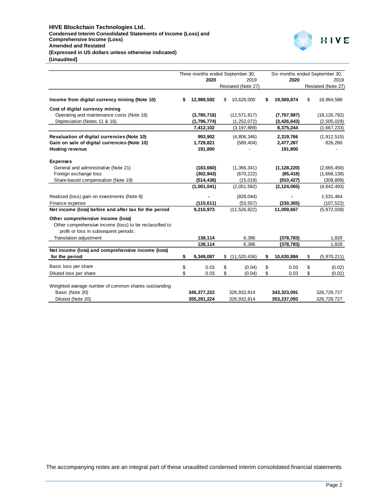

|                                                                                                                                       |    |               | Three months ended September 30, |                    |                  | Six months ended September 30, |                    |
|---------------------------------------------------------------------------------------------------------------------------------------|----|---------------|----------------------------------|--------------------|------------------|--------------------------------|--------------------|
|                                                                                                                                       |    | 2020          |                                  | 2019               | 2020             |                                | 2019               |
|                                                                                                                                       |    |               |                                  | Restated (Note 27) |                  |                                | Restated (Note 27) |
| Income from digital currency mining (Note 10)                                                                                         | S  | 12,989,592    | \$                               | 10,626,000         | \$<br>19,569,874 | \$                             | 18,964,588         |
| Cost of digital currency mining                                                                                                       |    |               |                                  |                    |                  |                                |                    |
| Operating and maintenance costs (Note 18)                                                                                             |    | (3,780,716)   |                                  | (12, 571, 817)     | (7,767,987)      |                                | (18, 126, 792)     |
| Depreciation (Notes 11 & 16)                                                                                                          |    | (1,796,774)   |                                  | (1,252,072)        | (3, 426, 643)    |                                | (2,505,029)        |
|                                                                                                                                       |    | 7,412,102     |                                  | (3, 197, 889)      | 8,375,244        |                                | (1,667,233)        |
| Revaluation of digital currencies (Note 10)                                                                                           |    | 993,902       |                                  | (4,806,346)        | 2,319,766        |                                | (1,912,515)        |
| Gain on sale of digital currencies (Note 10)                                                                                          |    | 1,729,821     |                                  | (589, 404)         | 2,477,287        |                                | 826,260            |
| <b>Hosting revenue</b>                                                                                                                |    | 191,800       |                                  |                    | 191,800          |                                |                    |
| <b>Expenses</b>                                                                                                                       |    |               |                                  |                    |                  |                                |                    |
| General and administrative (Note 21)                                                                                                  |    | (183, 660)    |                                  | (1,366,341)        | (1, 128, 220)    |                                | (2,665,456)        |
| Foreign exchange loss                                                                                                                 |    | (302, 943)    |                                  | (670, 222)         | (85, 418)        |                                | (1,668,138)        |
| Share-based compensation (Note 19)                                                                                                    |    | (514, 438)    |                                  | (15,019)           | (910, 427)       |                                | (308, 899)         |
|                                                                                                                                       |    | (1,001,041)   |                                  | (2,051,582)        | (2, 124, 065)    |                                | (4,642,493)        |
| Realized (loss) gain on investments (Note 8)                                                                                          |    |               |                                  | (828, 044)         |                  |                                | 1,531,464          |
| Finance expense                                                                                                                       |    | (115, 611)    |                                  | (53, 557)          | (230, 365)       |                                | (107, 522)         |
| Net income (loss) before and after tax for the period                                                                                 |    | 9,210,973     |                                  | (11, 526, 822)     | 11,009,667       |                                | (5,972,039)        |
| Other comprehensive income (loss)<br>Other comprehensive income (loss) to be reclassified to<br>profit or loss in subsequent periods: |    |               |                                  |                    |                  |                                |                    |
| Translation adjustment                                                                                                                |    | 138,114       |                                  | 6,386              | (378, 783)       |                                | 1,828              |
|                                                                                                                                       |    | 138,114       |                                  | 6,386              | (378, 783)       |                                | 1,828              |
| Net income (loss) and comprehensive income (loss)<br>for the period                                                                   | \$ | 9,349,087     | \$                               | (11,520,436)       | \$<br>10,630,884 | \$                             | (5,970,211)        |
| Basic loss per share                                                                                                                  | \$ | 0.03          | \$                               | (0.04)             | \$<br>0.03       | \$                             | (0.02)             |
| Diluted loss per share                                                                                                                | \$ | 0.03          | \$                               | (0.04)             | \$<br>0.03       | \$                             | (0.02)             |
| Weighted average number of common shares outstanding                                                                                  |    |               |                                  |                    |                  |                                |                    |
| Basic (Note 20)                                                                                                                       |    | 345, 377, 222 |                                  | 326,932,814        | 343,323,091      |                                | 326,729,727        |
| Diluted (Note 20)                                                                                                                     |    | 355,291,224   |                                  | 326,932,814        | 353,237,093      |                                | 326,729,727        |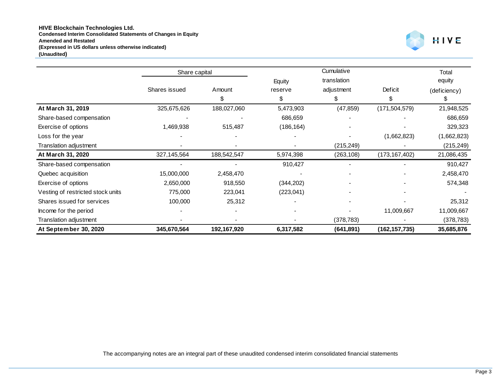#### **HIVE Blockchain Technologies Ltd. Condensed Interim Consolidated Statements of Changes in Equity Amended and Restated (Expressed in US dollars unless otherwise indicated) (Unaudited)**



|                                   | Share capital |             |            | Cumulative  |                 | Total        |
|-----------------------------------|---------------|-------------|------------|-------------|-----------------|--------------|
|                                   |               |             | Equity     | translation |                 | equity       |
|                                   | Shares issued | Amount      | reserve    | adjustment  | Deficit         | (deficiency) |
|                                   |               | S.          | \$         | \$          | S               | æ.           |
| At March 31, 2019                 | 325,675,626   | 188,027,060 | 5,473,903  | (47, 859)   | (171, 504, 579) | 21,948,525   |
| Share-based compensation          |               |             | 686,659    |             |                 | 686,659      |
| Exercise of options               | 1,469,938     | 515,487     | (186, 164) |             |                 | 329,323      |
| Loss for the year                 |               |             |            |             | (1,662,823)     | (1,662,823)  |
| Translation adjustment            |               |             |            | (215, 249)  |                 | (215, 249)   |
| At March 31, 2020                 | 327, 145, 564 | 188,542,547 | 5,974,398  | (263, 108)  | (173,167,402)   | 21,086,435   |
| Share-based compensation          |               |             | 910,427    |             |                 | 910,427      |
| Quebec acquisition                | 15,000,000    | 2,458,470   |            |             |                 | 2,458,470    |
| Exercise of options               | 2,650,000     | 918,550     | (344, 202) |             |                 | 574,348      |
| Vesting of restricted stock units | 775,000       | 223,041     | (223, 041) |             |                 |              |
| Shares issued for services        | 100,000       | 25,312      |            |             |                 | 25,312       |
| Income for the period             |               |             |            |             | 11,009,667      | 11,009,667   |
| Translation adjustment            |               |             |            | (378, 783)  |                 | (378, 783)   |
| At September 30, 2020             | 345,670,564   | 192,167,920 | 6,317,582  | (641, 891)  | (162, 157, 735) | 35,685,876   |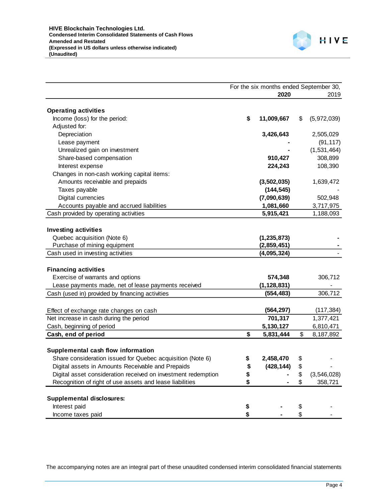

|                                                               | For the six months ended September 30, |               |     |             |
|---------------------------------------------------------------|----------------------------------------|---------------|-----|-------------|
|                                                               |                                        | 2020          |     | 2019        |
| <b>Operating activities</b>                                   |                                        |               |     |             |
| Income (loss) for the period:                                 | \$                                     | 11,009,667    | \$  | (5,972,039) |
| Adjusted for:                                                 |                                        |               |     |             |
| Depreciation                                                  |                                        | 3,426,643     |     | 2,505,029   |
| Lease payment                                                 |                                        |               |     | (91, 117)   |
| Unrealized gain on investment                                 |                                        |               |     | (1,531,464) |
| Share-based compensation                                      |                                        | 910,427       |     | 308,899     |
| Interest expense                                              |                                        | 224,243       |     | 108,390     |
| Changes in non-cash working capital items:                    |                                        |               |     |             |
| Amounts receivable and prepaids                               |                                        | (3,502,035)   |     | 1,639,472   |
| Taxes payable                                                 |                                        | (144, 545)    |     |             |
| Digital currencies                                            |                                        | (7,090,639)   |     | 502,948     |
| Accounts payable and accrued liabilities                      |                                        | 1,081,660     |     | 3,717,975   |
| Cash provided by operating activities                         |                                        | 5,915,421     |     | 1,188,093   |
|                                                               |                                        |               |     |             |
| <b>Investing activities</b>                                   |                                        |               |     |             |
| Quebec acquisition (Note 6)                                   |                                        | (1, 235, 873) |     |             |
| Purchase of mining equipment                                  |                                        | (2,859,451)   |     |             |
| Cash used in investing activities                             |                                        | (4,095,324)   |     |             |
|                                                               |                                        |               |     |             |
| <b>Financing activities</b>                                   |                                        |               |     |             |
| Exercise of warrants and options                              |                                        | 574,348       |     | 306,712     |
| Lease payments made, net of lease payments received           |                                        | (1, 128, 831) |     |             |
| Cash (used in) provided by financing activities               |                                        | (554, 483)    |     | 306,712     |
|                                                               |                                        |               |     |             |
| Effect of exchange rate changes on cash                       |                                        | (564, 297)    |     | (117, 384)  |
| Net increase in cash during the period                        |                                        | 701,317       |     | 1,377,421   |
| Cash, beginning of period                                     |                                        | 5,130,127     |     | 6,810,471   |
| Cash, end of period                                           | \$                                     | 5,831,444     | \$  | 8,187,892   |
|                                                               |                                        |               |     |             |
| Supplemental cash flow information                            |                                        |               |     |             |
| Share consideration issued for Quebec acquisition (Note 6)    | \$                                     | 2,458,470     | \$  |             |
| Digital assets in Amounts Receivable and Prepaids             | \$                                     | (428, 144)    | \$. |             |
| Digital asset consideration received on investment redemption | \$                                     |               | \$  | (3,546,028) |
| Recognition of right of use assets and lease liabilities      | \$                                     |               | \$  | 358,721     |
|                                                               |                                        |               |     |             |
| <b>Supplemental disclosures:</b>                              |                                        |               |     |             |
| Interest paid                                                 | \$                                     |               | \$  |             |
| Income taxes paid                                             | \$                                     |               | \$  |             |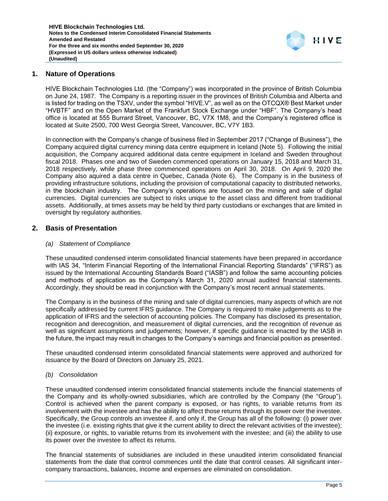

## **1. Nature of Operations**

HIVE Blockchain Technologies Ltd. (the "Company") was incorporated in the province of British Columbia on June 24, 1987. The Company is a reporting issuer in the provinces of British Columbia and Alberta and is listed for trading on the TSXV, under the symbol "HIVE.V", as well as on the OTCQX® Best Market under "HVBTF" and on the Open Market of the Frankfurt Stock Exchange under "HBF". The Company's head office is located at 555 Burrard Street, Vancouver, BC, V7X 1M8, and the Company's registered office is located at Suite 2500, 700 West Georgia Street, Vancouver, BC, V7Y 1B3.

In connection with the Company's change of business filed in September 2017 ("Change of Business"), the Company acquired digital currency mining data centre equipment in Iceland (Note 5). Following the initial acquisition, the Company acquired additional data centre equipment in Iceland and Sweden throughout fiscal 2018. Phases one and two of Sweden commenced operations on January 15, 2018 and March 31, 2018 respectively, while phase three commenced operations on April 30, 2018. On April 9, 2020 the Company also aquired a data centre in Quebec, Canada (Note 6). The Company is in the business of providing infrastructure solutions, including the provision of computational capacity to distributed networks, in the blockchain industry. The Company's operations are focused on the mining and sale of digital currencies. Digital currencies are subject to risks unique to the asset class and different from traditional assets. Additionally, at times assets may be held by third party custodians or exchanges that are limited in oversight by regulatory authorities.

## **2. Basis of Presentation**

#### *(a) Statement of Compliance*

These unaudited condensed interim consolidated financial statements have been prepared in accordance with IAS 34, "Interim Financial Reporting of the International Financial Reporting Standards" ("IFRS") as issued by the International Accounting Standards Board ("IASB") and follow the same accounting policies and methods of application as the Company's March 31, 2020 annual audited financial statements. Accordingly, they should be read in conjunction with the Company's most recent annual statements.

The Company is in the business of the mining and sale of digital currencies, many aspects of which are not specifically addressed by current IFRS guidance. The Company is required to make judgements as to the application of IFRS and the selection of accounting policies. The Company has disclosed its presentation, recognition and derecognition, and measurement of digital currencies, and the recognition of revenue as well as significant assumptions and judgements; however, if specific guidance is enacted by the IASB in the future, the impact may result in changes to the Company's earnings and financial position as presented.

These unaudited condensed interim consolidated financial statements were approved and authorized for issuance by the Board of Directors on January 25, 2021.

#### *(b) Consolidation*

These unaudited condensed interim consolidated financial statements include the financial statements of the Company and its wholly-owned subsidiaries, which are controlled by the Company (the "Group"). Control is achieved when the parent company is exposed, or has rights, to variable returns from its involvement with the investee and has the ability to affect those returns through its power over the investee. Specifically, the Group controls an investee if, and only if, the Group has all of the following: (i) power over the investee (i.e. existing rights that give it the current ability to direct the relevant activities of the investee); (ii) exposure, or rights, to variable returns from its involvement with the investee; and (iii) the ability to use its power over the investee to affect its returns.

The financial statements of subsidiaries are included in these unaudited interim consolidated financial statements from the date that control commences until the date that control ceases. All significant intercompany transactions, balances, income and expenses are eliminated on consolidation.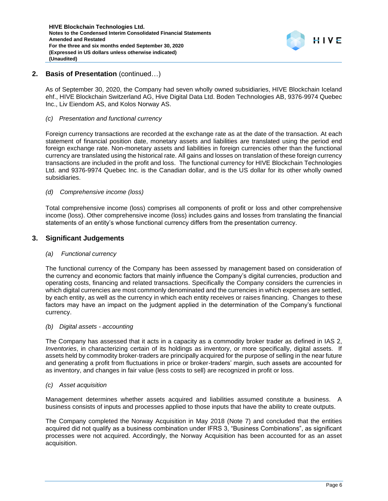

# **2. Basis of Presentation** (continued…)

As of September 30, 2020, the Company had seven wholly owned subsidiaries, HIVE Blockchain Iceland ehf., HIVE Blockchain Switzerland AG, Hive Digital Data Ltd. Boden Technologies AB, 9376-9974 Quebec Inc., Liv Eiendom AS, and Kolos Norway AS.

#### *(c) Presentation and functional currency*

Foreign currency transactions are recorded at the exchange rate as at the date of the transaction. At each statement of financial position date, monetary assets and liabilities are translated using the period end foreign exchange rate. Non-monetary assets and liabilities in foreign currencies other than the functional currency are translated using the historical rate. All gains and losses on translation of these foreign currency transactions are included in the profit and loss. The functional currency for HIVE Blockchain Technologies Ltd. and 9376-9974 Quebec Inc. is the Canadian dollar, and is the US dollar for its other wholly owned subsidiaries.

## *(d) Comprehensive income (loss)*

Total comprehensive income (loss) comprises all components of profit or loss and other comprehensive income (loss). Other comprehensive income (loss) includes gains and losses from translating the financial statements of an entity's whose functional currency differs from the presentation currency.

# **3. Significant Judgements**

#### *(a) Functional currency*

The functional currency of the Company has been assessed by management based on consideration of the currency and economic factors that mainly influence the Company's digital currencies, production and operating costs, financing and related transactions. Specifically the Company considers the currencies in which digital currencies are most commonly denominated and the currencies in which expenses are settled, by each entity, as well as the currency in which each entity receives or raises financing. Changes to these factors may have an impact on the judgment applied in the determination of the Company's functional currency.

#### *(b) Digital assets - accounting*

The Company has assessed that it acts in a capacity as a commodity broker trader as defined in IAS 2, *Inventories*, in characterizing certain of its holdings as inventory, or more specifically, digital assets. If assets held by commodity broker-traders are principally acquired for the purpose of selling in the near future and generating a profit from fluctuations in price or broker-traders' margin, such assets are accounted for as inventory, and changes in fair value (less costs to sell) are recognized in profit or loss.

#### *(c) Asset acquisition*

Management determines whether assets acquired and liabilities assumed constitute a business. A business consists of inputs and processes applied to those inputs that have the ability to create outputs.

The Company completed the Norway Acquisition in May 2018 (Note 7) and concluded that the entities acquired did not qualify as a business combination under IFRS 3, "Business Combinations", as significant processes were not acquired. Accordingly, the Norway Acquisition has been accounted for as an asset acquisition.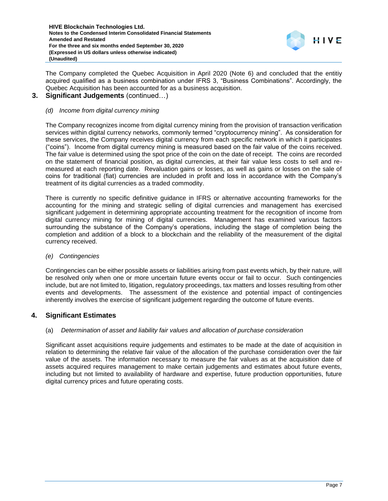

The Company completed the Quebec Acquisition in April 2020 (Note 6) and concluded that the entitiy acquired qualified as a business combination under IFRS 3, "Business Combinations". Accordingly, the Quebec Acquisition has been accounted for as a business acquisition.

# **3. Significant Judgements** (continued…)

## *(d) Income from digital currency mining*

The Company recognizes income from digital currency mining from the provision of transaction verification services within digital currency networks, commonly termed "cryptocurrency mining". As consideration for these services, the Company receives digital currency from each specific network in which it participates ("coins"). Income from digital currency mining is measured based on the fair value of the coins received. The fair value is determined using the spot price of the coin on the date of receipt. The coins are recorded on the statement of financial position, as digital currencies, at their fair value less costs to sell and remeasured at each reporting date. Revaluation gains or losses, as well as gains or losses on the sale of coins for traditional (fiat) currencies are included in profit and loss in accordance with the Company's treatment of its digital currencies as a traded commodity.

There is currently no specific definitive guidance in IFRS or alternative accounting frameworks for the accounting for the mining and strategic selling of digital currencies and management has exercised significant judgement in determining appropriate accounting treatment for the recognition of income from digital currency mining for mining of digital currencies. Management has examined various factors surrounding the substance of the Company's operations, including the stage of completion being the completion and addition of a block to a blockchain and the reliability of the measurement of the digital currency received.

#### *(e) Contingencies*

Contingencies can be either possible assets or liabilities arising from past events which, by their nature, will be resolved only when one or more uncertain future events occur or fail to occur. Such contingencies include, but are not limited to, litigation, regulatory proceedings, tax matters and losses resulting from other events and developments. The assessment of the existence and potential impact of contingencies inherently involves the exercise of significant judgement regarding the outcome of future events.

# **4. Significant Estimates**

#### (a) *Determination of asset and liability fair values and allocation of purchase consideration*

Significant asset acquisitions require judgements and estimates to be made at the date of acquisition in relation to determining the relative fair value of the allocation of the purchase consideration over the fair value of the assets. The information necessary to measure the fair values as at the acquisition date of assets acquired requires management to make certain judgements and estimates about future events, including but not limited to availability of hardware and expertise, future production opportunities, future digital currency prices and future operating costs.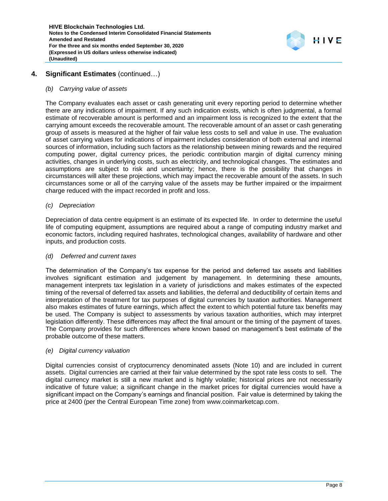

# **4. Significant Estimates** (continued…)

#### *(b) Carrying value of assets*

The Company evaluates each asset or cash generating unit every reporting period to determine whether there are any indications of impairment. If any such indication exists, which is often judgmental, a formal estimate of recoverable amount is performed and an impairment loss is recognized to the extent that the carrying amount exceeds the recoverable amount. The recoverable amount of an asset or cash generating group of assets is measured at the higher of fair value less costs to sell and value in use. The evaluation of asset carrying values for indications of impairment includes consideration of both external and internal sources of information, including such factors as the relationship between mining rewards and the required computing power, digital currency prices, the periodic contribution margin of digital currency mining activities, changes in underlying costs, such as electricity, and technological changes. The estimates and assumptions are subject to risk and uncertainty; hence, there is the possibility that changes in circumstances will alter these projections, which may impact the recoverable amount of the assets. In such circumstances some or all of the carrying value of the assets may be further impaired or the impairment charge reduced with the impact recorded in profit and loss.

#### *(c) Depreciation*

Depreciation of data centre equipment is an estimate of its expected life. In order to determine the useful life of computing equipment, assumptions are required about a range of computing industry market and economic factors, including required hashrates, technological changes, availability of hardware and other inputs, and production costs.

#### *(d) Deferred and current taxes*

The determination of the Company's tax expense for the period and deferred tax assets and liabilities involves significant estimation and judgement by management. In determining these amounts, management interprets tax legislation in a variety of jurisdictions and makes estimates of the expected timing of the reversal of deferred tax assets and liabilities, the deferral and deductibility of certain items and interpretation of the treatment for tax purposes of digital currencies by taxation authorities. Management also makes estimates of future earnings, which affect the extent to which potential future tax benefits may be used. The Company is subject to assessments by various taxation authorities, which may interpret legislation differently. These differences may affect the final amount or the timing of the payment of taxes. The Company provides for such differences where known based on management's best estimate of the probable outcome of these matters.

#### *(e) Digital currency valuation*

Digital currencies consist of cryptocurrency denominated assets (Note 10) and are included in current assets. Digital currencies are carried at their fair value determined by the spot rate less costs to sell. The digital currency market is still a new market and is highly volatile; historical prices are not necessarily indicative of future value; a significant change in the market prices for digital currencies would have a significant impact on the Company's earnings and financial position. Fair value is determined by taking the price at 2400 (per the Central European Time zone) from [www.coinmarketcap.com.](http://www.coinmarketcap.com/)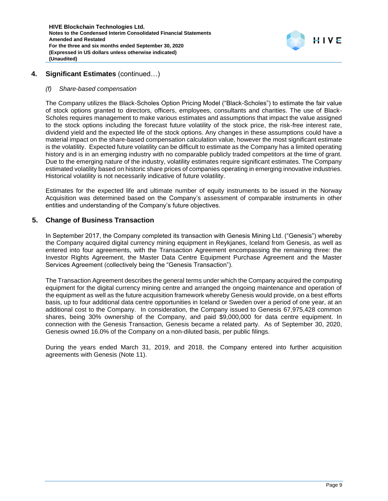

# **4. Significant Estimates** (continued…)

#### *(f) Share-based compensation*

The Company utilizes the Black-Scholes Option Pricing Model ("Black-Scholes") to estimate the fair value of stock options granted to directors, officers, employees, consultants and charities. The use of Black-Scholes requires management to make various estimates and assumptions that impact the value assigned to the stock options including the forecast future volatility of the stock price, the risk-free interest rate, dividend yield and the expected life of the stock options. Any changes in these assumptions could have a material impact on the share-based compensation calculation value, however the most significant estimate is the volatility. Expected future volatility can be difficult to estimate as the Company has a limited operating history and is in an emerging industry with no comparable publicly traded competitors at the time of grant. Due to the emerging nature of the industry, volatility estimates require significant estimates. The Company estimated volatility based on historic share prices of companies operating in emerging innovative industries. Historical volatility is not necessarily indicative of future volatility.

Estimates for the expected life and ultimate number of equity instruments to be issued in the Norway Acquisition was determined based on the Company's assessment of comparable instruments in other entities and understanding of the Company's future objectives.

## **5. Change of Business Transaction**

In September 2017, the Company completed its transaction with Genesis Mining Ltd. ("Genesis") whereby the Company acquired digital currency mining equipment in Reykjanes, Iceland from Genesis, as well as entered into four agreements, with the Transaction Agreement encompassing the remaining three: the Investor Rights Agreement, the Master Data Centre Equipment Purchase Agreement and the Master Services Agreement (collectively being the "Genesis Transaction").

The Transaction Agreement describes the general terms under which the Company acquired the computing equipment for the digital currency mining centre and arranged the ongoing maintenance and operation of the equipment as well as the future acquisition framework whereby Genesis would provide, on a best efforts basis, up to four additional data centre opportunities in Iceland or Sweden over a period of one year, at an additional cost to the Company. In consideration, the Company issued to Genesis 67,975,428 common shares, being 30% ownership of the Company, and paid \$9,000,000 for data centre equipment. In connection with the Genesis Transaction, Genesis became a related party. As of September 30, 2020, Genesis owned 16.0% of the Company on a non-diluted basis, per public filings.

During the years ended March 31, 2019, and 2018, the Company entered into further acquisition agreements with Genesis (Note 11).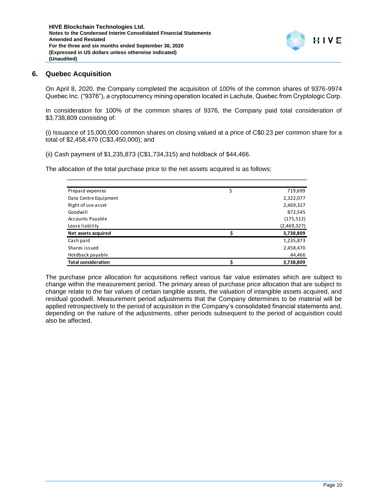

## **6. Quebec Acquisition**

On April 8, 2020, the Company completed the acquisition of 100% of the common shares of 9376-9974 Quebec Inc. ("9376"), a cryptocurrency mining operation located in Lachute, Quebec from Cryptologic Corp.

In consideration for 100% of the common shares of 9376, the Company paid total consideration of \$3,738,809 consisting of:

(i) Issuance of 15,000,000 common shares on closing valued at a price of C\$0.23 per common share for a total of \$2,458,470 (C\$3,450,000); and

(ii) Cash payment of \$1,235,873 (C\$1,734,315) and holdback of \$44,466.

The allocation of the total purchase price to the net assets acquired is as follows:

| Prepaid expenses           | \$<br>719,699 |
|----------------------------|---------------|
| Data Centre Equipment      | 2,322,077     |
| Right of use asset         | 2,469,327     |
| Goodwill                   | 872,545       |
| <b>Accounts Payable</b>    | (175, 512)    |
| Lease liability            | (2,469,327)   |
| Net assets acquired        | 3,738,809     |
| Cash paid                  | 1,235,873     |
| Shares issued              | 2,458,470     |
| Holdback payable           | 44,466        |
| <b>Total consideration</b> | 3,738,809     |

The purchase price allocation for acquisitions reflect various fair value estimates which are subject to change within the measurement period. The primary areas of purchase price allocation that are subject to change relate to the fair values of certain tangible assets, the valuation of intangible assets acquired, and residual goodwill. Measurement period adjustments that the Company determines to be material will be applied retrospectively to the period of acquisition in the Company's consolidated financial statements and, depending on the nature of the adjustments, other periods subsequent to the period of acquisition could also be affected.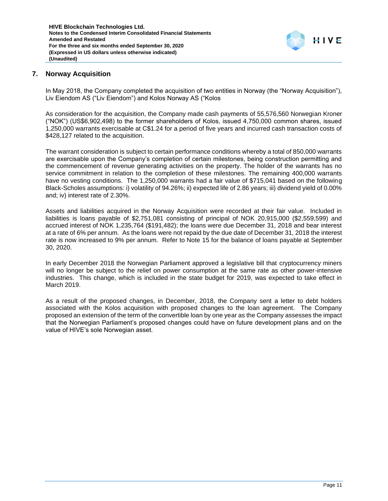

# **7. Norway Acquisition**

In May 2018, the Company completed the acquisition of two entities in Norway (the "Norway Acquisition"), Liv Eiendom AS ("Liv Eiendom") and Kolos Norway AS ("Kolos

As consideration for the acquisition, the Company made cash payments of 55,576,560 Norwegian Kroner ("NOK") (US\$6,902,498) to the former shareholders of Kolos, issued 4,750,000 common shares, issued 1,250,000 warrants exercisable at C\$1.24 for a period of five years and incurred cash transaction costs of \$428,127 related to the acquisition.

The warrant consideration is subject to certain performance conditions whereby a total of 850,000 warrants are exercisable upon the Company's completion of certain milestones, being construction permitting and the commencement of revenue generating activities on the property. The holder of the warrants has no service commitment in relation to the completion of these milestones. The remaining 400,000 warrants have no vesting conditions. The 1,250,000 warrants had a fair value of \$715,041 based on the following Black-Scholes assumptions: i) volatility of 94.26%; ii) expected life of 2.86 years; iii) dividend yield of 0.00% and; iv) interest rate of 2.30%.

Assets and liabilities acquired in the Norway Acquisition were recorded at their fair value. Included in liabilities is loans payable of \$2,751,081 consisting of principal of NOK 20,915,000 (\$2,559,599) and accrued interest of NOK 1,235,764 (\$191,482); the loans were due December 31, 2018 and bear interest at a rate of 6% per annum. As the loans were not repaid by the due date of December 31, 2018 the interest rate is now increased to 9% per annum. Refer to Note 15 for the balance of loans payable at September 30, 2020.

In early December 2018 the Norwegian Parliament approved a legislative bill that cryptocurrency miners will no longer be subject to the relief on power consumption at the same rate as other power-intensive industries. This change, which is included in the state budget for 2019, was expected to take effect in March 2019.

As a result of the proposed changes, in December, 2018, the Company sent a letter to debt holders associated with the Kolos acquisition with proposed changes to the loan agreement. The Company proposed an extension of the term of the convertible loan by one year as the Company assesses the impact that the Norwegian Parliament's proposed changes could have on future development plans and on the value of HIVE's sole Norwegian asset.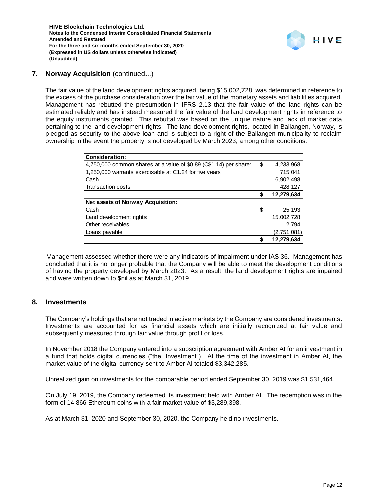

# **7. Norway Acquisition** (continued...)

The fair value of the land development rights acquired, being \$15,002,728, was determined in reference to the excess of the purchase consideration over the fair value of the monetary assets and liabilities acquired. Management has rebutted the presumption in IFRS 2.13 that the fair value of the land rights can be estimated reliably and has instead measured the fair value of the land development rights in reference to the equity instruments granted. This rebuttal was based on the unique nature and lack of market data pertaining to the land development rights. The land development rights, located in Ballangen, Norway, is pledged as security to the above loan and is subject to a right of the Ballangen municipality to reclaim ownership in the event the property is not developed by March 2023, among other conditions.

| <b>Consideration:</b>                                             |    |             |
|-------------------------------------------------------------------|----|-------------|
| 4,750,000 common shares at a value of \$0.89 (C\$1.14) per share: | \$ | 4,233,968   |
| 1,250,000 warrants exercisable at C1.24 for five years            |    | 715,041     |
| Cash                                                              |    | 6,902,498   |
| <b>Transaction costs</b>                                          |    | 428,127     |
|                                                                   | S  | 12,279,634  |
| Net assets of Norway Acquisition:                                 |    |             |
| Cash                                                              | \$ | 25.193      |
| Land development rights                                           |    | 15,002,728  |
| Other receivables                                                 |    | 2.794       |
| Loans payable                                                     |    | (2,751,081) |
|                                                                   | \$ | 12,279,634  |

Management assessed whether there were any indicators of impairment under IAS 36. Management has concluded that it is no longer probable that the Company will be able to meet the development conditions of having the property developed by March 2023. As a result, the land development rights are impaired and were written down to \$nil as at March 31, 2019.

# **8. Investments**

The Company's holdings that are not traded in active markets by the Company are considered investments. Investments are accounted for as financial assets which are initially recognized at fair value and subsequently measured through fair value through profit or loss.

In November 2018 the Company entered into a subscription agreement with Amber AI for an investment in a fund that holds digital currencies ("the "Investment"). At the time of the investment in Amber AI, the market value of the digital currency sent to Amber AI totaled \$3,342,285.

Unrealized gain on investments for the comparable period ended September 30, 2019 was \$1,531,464.

On July 19, 2019, the Company redeemed its investment held with Amber AI. The redemption was in the form of 14,866 Ethereum coins with a fair market value of \$3,289,398.

As at March 31, 2020 and September 30, 2020, the Company held no investments.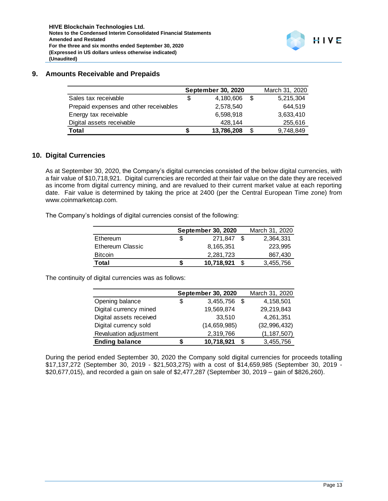## **9. Amounts Receivable and Prepaids**

|                                        |   | <b>September 30, 2020</b> |      | March 31, 2020 |
|----------------------------------------|---|---------------------------|------|----------------|
| Sales tax receivable                   | S | 4.180.606                 | - \$ | 5,215,304      |
| Prepaid expenses and other receivables |   | 2,578,540                 |      | 644.519        |
| Energy tax receivable                  |   | 6,598,918                 |      | 3,633,410      |
| Digital assets receivable              |   | 428.144                   |      | 255,616        |
| Total                                  |   | 13,786,208                | S    | 9,748,849      |

# **10. Digital Currencies**

As at September 30, 2020, the Company's digital currencies consisted of the below digital currencies, with a fair value of \$10,718,921. Digital currencies are recorded at their fair value on the date they are received as income from digital currency mining, and are revalued to their current market value at each reporting date. Fair value is determined by taking the price at 2400 (per the Central European Time zone) from www.coinmarketcap.com.

The Company's holdings of digital currencies consist of the following:

|                         | September 30, 2020 | March 31, 2020 |
|-------------------------|--------------------|----------------|
| Ethereum                | 271.847            | 2,364,331      |
| <b>Ethereum Classic</b> | 8,165,351          | 223.995        |
| <b>Bitcoin</b>          | 2,281,723          | 867,430        |
| Total                   | 10,718,921         | 3,455,756      |

The continuity of digital currencies was as follows:

|                         |   | <b>September 30, 2020</b> | March 31, 2020 |                |
|-------------------------|---|---------------------------|----------------|----------------|
| Opening balance         | S | 3,455,756 \$              |                | 4,158,501      |
| Digital currency mined  |   | 19,569,874                |                | 29,219,843     |
| Digital assets received |   | 33,510                    |                | 4,261,351      |
| Digital currency sold   |   | (14, 659, 985)            |                | (32, 996, 432) |
| Revaluation adjustment  |   | 2,319,766                 |                | (1, 187, 507)  |
| <b>Ending balance</b>   |   | 10,718,921                | S.             | 3,455,756      |

During the period ended September 30, 2020 the Company sold digital currencies for proceeds totalling \$17,137,272 (September 30, 2019 - \$21,503,275) with a cost of \$14,659,985 (September 30, 2019 - \$20,677,015), and recorded a gain on sale of \$2,477,287 (September 30, 2019 – gain of \$826,260).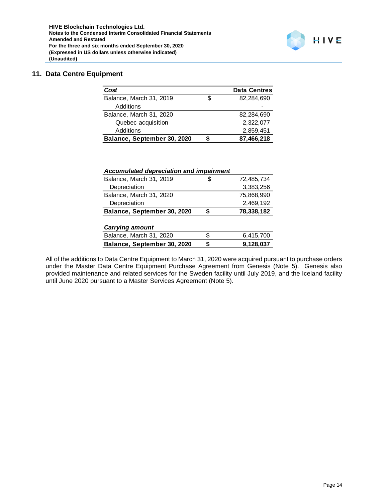# **11. Data Centre Equipment**

| Cost                        |   | <b>Data Centres</b> |
|-----------------------------|---|---------------------|
| Balance, March 31, 2019     | S | 82,284,690          |
| Additions                   |   |                     |
| Balance, March 31, 2020     |   | 82,284,690          |
| Quebec acquisition          |   | 2,322,077           |
| <b>Additions</b>            |   | 2,859,451           |
| Balance, September 30, 2020 |   | 87,466,218          |

| Accumulated depreciation and impairment |    |            |
|-----------------------------------------|----|------------|
| Balance, March 31, 2019                 |    | 72,485,734 |
| Depreciation                            |    | 3,383,256  |
| Balance, March 31, 2020                 |    | 75,868,990 |
| Depreciation                            |    | 2,469,192  |
| Balance, September 30, 2020             |    | 78,338,182 |
|                                         |    |            |
| <b>Carrying amount</b>                  |    |            |
| Balance, March 31, 2020                 | S  | 6,415,700  |
| Balance, September 30, 2020             | \$ | 9,128,037  |

All of the additions to Data Centre Equipment to March 31, 2020 were acquired pursuant to purchase orders under the Master Data Centre Equipment Purchase Agreement from Genesis (Note 5). Genesis also provided maintenance and related services for the Sweden facility until July 2019, and the Iceland facility until June 2020 pursuant to a Master Services Agreement (Note 5).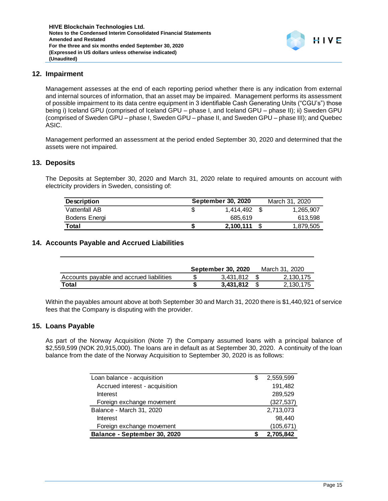

# **12. Impairment**

Management assesses at the end of each reporting period whether there is any indication from external and internal sources of information, that an asset may be impaired. Management performs its assessment of possible impairment to its data centre equipment in 3 identifiable Cash Generating Units ("CGU's") those being i) Iceland GPU (comprised of Iceland GPU – phase I, and Iceland GPU – phase II); ii) Sweden GPU (comprised of Sweden GPU – phase I, Sweden GPU – phase II, and Sweden GPU – phase III); and Quebec ASIC.

Management performed an assessment at the period ended September 30, 2020 and determined that the assets were not impaired.

#### **13. Deposits**

The Deposits at September 30, 2020 and March 31, 2020 relate to required amounts on account with electricity providers in Sweden, consisting of:

| <b>Description</b> | <b>September 30, 2020</b> | March 31, 2020 |
|--------------------|---------------------------|----------------|
| Vattenfall AB      | 1.414.492                 | 1,265,907      |
| Bodens Energi      | 685.619                   | 613,598        |
| Total              | 2,100,111                 | 1,879,505      |

## **14. Accounts Payable and Accrued Liabilities**

|                                          | <b>September 30, 2020</b> | March 31, 2020 |
|------------------------------------------|---------------------------|----------------|
| Accounts payable and accrued liabilities | 3.431.812                 | 2.130.175      |
| Total                                    | 3.431.812                 | 2.130.175      |

Within the payables amount above at both September 30 and March 31, 2020 there is \$1,440,921 of service fees that the Company is disputing with the provider.

#### **15. Loans Payable**

As part of the Norway Acquisition (Note 7) the Company assumed loans with a principal balance of \$2,559,599 (NOK 20,915,000). The loans are in default as at September 30, 2020. A continuity of the loan balance from the date of the Norway Acquisition to September 30, 2020 is as follows:

| Loan balance - acquisition     | S | 2,559,599  |
|--------------------------------|---|------------|
| Accrued interest - acquisition |   | 191,482    |
| Interest                       |   | 289,529    |
| Foreign exchange movement      |   | (327, 537) |
| Balance - March 31, 2020       |   | 2,713,073  |
| Interest                       |   | 98,440     |
| Foreign exchange movement      |   | (105, 671) |
| Balance - September 30, 2020   |   | 2,705,842  |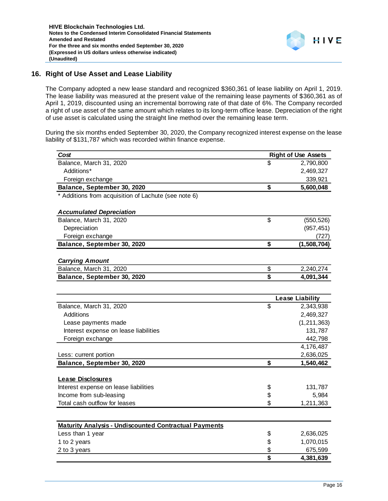

## **16. Right of Use Asset and Lease Liability**

The Company adopted a new lease standard and recognized \$360,361 of lease liability on April 1, 2019. The lease liability was measured at the present value of the remaining lease payments of \$360,361 as of April 1, 2019, discounted using an incremental borrowing rate of that date of 6%. The Company recorded a right of use asset of the same amount which relates to its long-term office lease. Depreciation of the right of use asset is calculated using the straight line method over the remaining lease term.

During the six months ended September 30, 2020, the Company recognized interest expense on the lease liability of \$131,787 which was recorded within finance expense.

| Cost                                                         | <b>Right of Use Assets</b> |
|--------------------------------------------------------------|----------------------------|
| Balance, March 31, 2020                                      | \$<br>2,790,800            |
| Additions*                                                   | 2,469,327                  |
| Foreign exchange                                             | 339,921                    |
| Balance, September 30, 2020                                  | \$<br>5,600,048            |
| * Additions from acquisition of Lachute (see note 6)         |                            |
|                                                              |                            |
| <b>Accumulated Depreciation</b>                              |                            |
| Balance, March 31, 2020                                      | \$<br>(550, 526)           |
| Depreciation                                                 | (957, 451)                 |
| Foreign exchange                                             | (727)                      |
| Balance, September 30, 2020                                  | \$<br>(1,508,704)          |
| <b>Carrying Amount</b>                                       |                            |
| Balance, March 31, 2020                                      | \$<br>2,240,274            |
| Balance, September 30, 2020                                  | \$<br>4,091,344            |
|                                                              |                            |
|                                                              | <b>Lease Liability</b>     |
| Balance, March 31, 2020                                      | \$<br>2,343,938            |
| Additions                                                    | 2,469,327                  |
| Lease payments made                                          | (1, 211, 363)              |
| Interest expense on lease liabilities                        | 131,787                    |
| Foreign exchange                                             | 442,798                    |
|                                                              | 4,176,487                  |
| Less: current portion                                        | 2,636,025                  |
| Balance, September 30, 2020                                  | \$<br>1,540,462            |
|                                                              |                            |
| <b>Lease Disclosures</b>                                     |                            |
| Interest expense on lease liabilities                        | \$<br>131,787              |
| Income from sub-leasing                                      | \$<br>5,984                |
| Total cash outflow for leases                                | \$<br>1,211,363            |
|                                                              |                            |
| <b>Maturity Analysis - Undiscounted Contractual Payments</b> |                            |
| Less than 1 year                                             | \$<br>2,636,025            |
| 1 to 2 years                                                 | \$<br>1,070,015            |
| 2 to 3 years                                                 | \$<br>675,599              |
|                                                              | \$<br>4,381,639            |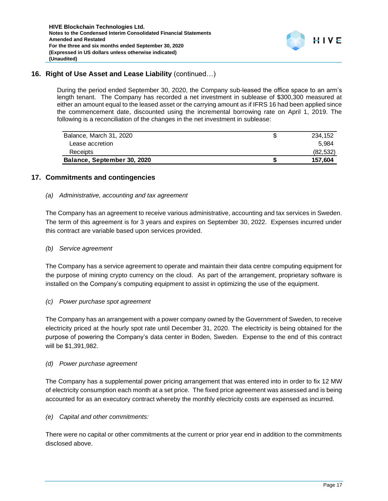

# **16. Right of Use Asset and Lease Liability** (continued…)

During the period ended September 30, 2020, the Company sub-leased the office space to an arm's length tenant. The Company has recorded a net investment in sublease of \$300,300 measured at either an amount equal to the leased asset or the carrying amount as if IFRS 16 had been applied since the commencement date, discounted using the incremental borrowing rate on April 1, 2019. The following is a reconciliation of the changes in the net investment in sublease:

| Balance, March 31, 2020     | 234.152   |
|-----------------------------|-----------|
| Lease accretion             | 5.984     |
| Receipts                    | (82, 532) |
| Balance, September 30, 2020 | 157.604   |

# **17. Commitments and contingencies**

## *(a) Administrative, accounting and tax agreement*

The Company has an agreement to receive various administrative, accounting and tax services in Sweden. The term of this agreement is for 3 years and expires on September 30, 2022. Expenses incurred under this contract are variable based upon services provided.

#### *(b) Service agreement*

The Company has a service agreement to operate and maintain their data centre computing equipment for the purpose of mining crypto currency on the cloud. As part of the arrangement, proprietary software is installed on the Company's computing equipment to assist in optimizing the use of the equipment.

#### *(c) Power purchase spot agreement*

The Company has an arrangement with a power company owned by the Government of Sweden, to receive electricity priced at the hourly spot rate until December 31, 2020. The electricity is being obtained for the purpose of powering the Company's data center in Boden, Sweden. Expense to the end of this contract will be \$1,391,982.

#### *(d) Power purchase agreement*

The Company has a supplemental power pricing arrangement that was entered into in order to fix 12 MW of electricity consumption each month at a set price. The fixed price agreement was assessed and is being accounted for as an executory contract whereby the monthly electricity costs are expensed as incurred.

#### *(e) Capital and other commitments:*

There were no capital or other commitments at the current or prior year end in addition to the commitments disclosed above.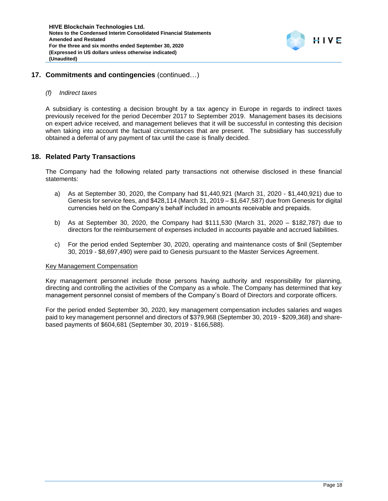

# **17. Commitments and contingencies** (continued…)

#### *(f) Indirect taxes*

A subsidiary is contesting a decision brought by a tax agency in Europe in regards to indirect taxes previously received for the period December 2017 to September 2019. Management bases its decisions on expert advice received, and management believes that it will be successful in contesting this decision when taking into account the factual circumstances that are present. The subsidiary has successfully obtained a deferral of any payment of tax until the case is finally decided.

## **18. Related Party Transactions**

The Company had the following related party transactions not otherwise disclosed in these financial statements:

- a) As at September 30, 2020, the Company had \$1,440,921 (March 31, 2020 \$1,440,921) due to Genesis for service fees, and \$428,114 (March 31, 2019 – \$1,647,587) due from Genesis for digital currencies held on the Company's behalf included in amounts receivable and prepaids.
- b) As at September 30, 2020, the Company had \$111,530 (March 31, 2020 \$182,787) due to directors for the reimbursement of expenses included in accounts payable and accrued liabilities.
- c) For the period ended September 30, 2020, operating and maintenance costs of \$nil (September 30, 2019 - \$8,697,490) were paid to Genesis pursuant to the Master Services Agreement.

#### Key Management Compensation

Key management personnel include those persons having authority and responsibility for planning, directing and controlling the activities of the Company as a whole. The Company has determined that key management personnel consist of members of the Company's Board of Directors and corporate officers.

For the period ended September 30, 2020, key management compensation includes salaries and wages paid to key management personnel and directors of \$379,968 (September 30, 2019 - \$209,368) and sharebased payments of \$604,681 (September 30, 2019 - \$166,588).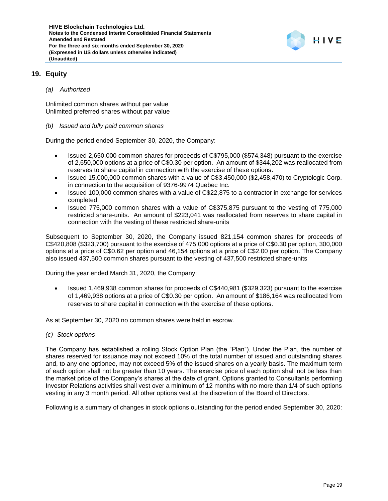

# **19. Equity**

#### *(a) Authorized*

Unlimited common shares without par value Unlimited preferred shares without par value

#### *(b) Issued and fully paid common shares*

During the period ended September 30, 2020, the Company:

- Issued 2,650,000 common shares for proceeds of C\$795,000 (\$574,348) pursuant to the exercise of 2,650,000 options at a price of C\$0.30 per option. An amount of \$344,202 was reallocated from reserves to share capital in connection with the exercise of these options.
- Issued 15,000,000 common shares with a value of C\$3,450,000 (\$2,458,470) to Cryptologic Corp. in connection to the acquisition of 9376-9974 Quebec Inc.
- Issued 100,000 common shares with a value of C\$22,875 to a contractor in exchange for services completed.
- Issued 775,000 common shares with a value of C\$375,875 pursuant to the vesting of 775,000 restricted share-units. An amount of \$223,041 was reallocated from reserves to share capital in connection with the vesting of these restricted share-units

Subsequent to September 30, 2020, the Company issued 821,154 common shares for proceeds of C\$420,808 (\$323,700) pursuant to the exercise of 475,000 options at a price of C\$0.30 per option, 300,000 options at a price of C\$0.62 per option and 46,154 options at a price of C\$2.00 per option. The Company also issued 437,500 common shares pursuant to the vesting of 437,500 restricted share-units

During the year ended March 31, 2020, the Company:

• Issued 1,469,938 common shares for proceeds of C\$440,981 (\$329,323) pursuant to the exercise of 1,469,938 options at a price of C\$0.30 per option. An amount of \$186,164 was reallocated from reserves to share capital in connection with the exercise of these options.

As at September 30, 2020 no common shares were held in escrow.

*(c) Stock options*

The Company has established a rolling Stock Option Plan (the "Plan"). Under the Plan, the number of shares reserved for issuance may not exceed 10% of the total number of issued and outstanding shares and, to any one optionee, may not exceed 5% of the issued shares on a yearly basis. The maximum term of each option shall not be greater than 10 years. The exercise price of each option shall not be less than the market price of the Company's shares at the date of grant. Options granted to Consultants performing Investor Relations activities shall vest over a minimum of 12 months with no more than 1/4 of such options vesting in any 3 month period. All other options vest at the discretion of the Board of Directors.

Following is a summary of changes in stock options outstanding for the period ended September 30, 2020: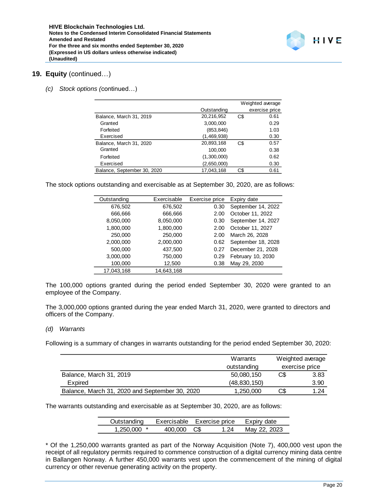

## **19. Equity** (continued…)

*(c) Stock options (*continued…)

|                             |             |     | Weighted average |
|-----------------------------|-------------|-----|------------------|
|                             | Outstanding |     | exercise price   |
| Balance, March 31, 2019     | 20,216,952  | C\$ | 0.61             |
| Granted                     | 3,000,000   |     | 0.29             |
| Forfeited                   | (853, 846)  |     | 1.03             |
| Exercised                   | (1,469,938) |     | 0.30             |
| Balance, March 31, 2020     | 20,893,168  | C\$ | 0.57             |
| Granted                     | 100,000     |     | 0.38             |
| Forfeited                   | (1,300,000) |     | 0.62             |
| Exercised                   | (2,650,000) |     | 0.30             |
| Balance, September 30, 2020 | 17,043,168  | C\$ | 0.61             |

The stock options outstanding and exercisable as at September 30, 2020, are as follows:

| Outstanding | Exercisable | Exercise price | Expiry date        |
|-------------|-------------|----------------|--------------------|
| 676,502     | 676,502     | 0.30           | September 14, 2022 |
| 666,666     | 666,666     | 2.00           | October 11, 2022   |
| 8,050,000   | 8,050,000   | 0.30           | September 14, 2027 |
| 1,800,000   | 1,800,000   | 2.00           | October 11, 2027   |
| 250,000     | 250,000     | 2.00           | March 26, 2028     |
| 2,000,000   | 2,000,000   | 0.62           | September 18, 2028 |
| 500,000     | 437,500     | 0.27           | December 21, 2028  |
| 3,000,000   | 750,000     | 0.29           | February 10, 2030  |
| 100,000     | 12,500      | 0.38           | May 29, 2030       |
| 17.043.168  | 14.643.168  |                |                    |

The 100,000 options granted during the period ended September 30, 2020 were granted to an employee of the Company.

The 3,000,000 options granted during the year ended March 31, 2020, were granted to directors and officers of the Company.

#### *(d) Warrants*

Following is a summary of changes in warrants outstanding for the period ended September 30, 2020:

|                                                | Warrants       | Weighted average<br>exercise price |      |
|------------------------------------------------|----------------|------------------------------------|------|
|                                                | outstanding    |                                    |      |
| Balance, March 31, 2019                        | 50,080,150     | C\$<br>3.83                        |      |
| Expired                                        | (48, 830, 150) |                                    | 3.90 |
| Balance, March 31, 2020 and September 30, 2020 | 1,250,000      | C\$                                | 1.24 |

The warrants outstanding and exercisable as at September 30, 2020, are as follows:

| Outstanding   |            | Exercisable Exercise price | Expiry date  |
|---------------|------------|----------------------------|--------------|
| $1.250.000$ * | 400.000 CS | 1.24                       | May 22, 2023 |

\* Of the 1,250,000 warrants granted as part of the Norway Acquisition (Note 7), 400,000 vest upon the receipt of all regulatory permits required to commence construction of a digital currency mining data centre in Ballangen Norway. A further 450,000 warrants vest upon the commencement of the mining of digital currency or other revenue generating activity on the property.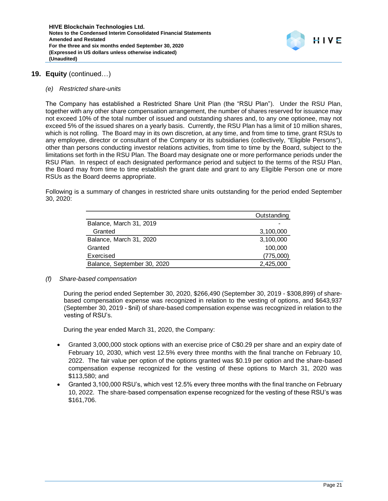

# **19. Equity** (continued…)

#### *(e) Restricted share-units*

The Company has established a Restricted Share Unit Plan (the "RSU Plan"). Under the RSU Plan, together with any other share compensation arrangement, the number of shares reserved for issuance may not exceed 10% of the total number of issued and outstanding shares and, to any one optionee, may not exceed 5% of the issued shares on a yearly basis. Currently, the RSU Plan has a limit of 10 million shares, which is not rolling. The Board may in its own discretion, at any time, and from time to time, grant RSUs to any employee, director or consultant of the Company or its subsidiaries (collectively, "Eligible Persons"), other than persons conducting investor relations activities, from time to time by the Board, subject to the limitations set forth in the RSU Plan. The Board may designate one or more performance periods under the RSU Plan. In respect of each designated performance period and subject to the terms of the RSU Plan, the Board may from time to time establish the grant date and grant to any Eligible Person one or more RSUs as the Board deems appropriate.

Following is a summary of changes in restricted share units outstanding for the period ended September 30, 2020:

| Outstanding |
|-------------|
|             |
| 3,100,000   |
| 3,100,000   |
| 100,000     |
| (775,000)   |
| 2,425,000   |
|             |

#### *(f) Share-based compensation*

During the period ended September 30, 2020, \$266,490 (September 30, 2019 - \$308,899) of sharebased compensation expense was recognized in relation to the vesting of options, and \$643,937 (September 30, 2019 - \$nil) of share-based compensation expense was recognized in relation to the vesting of RSU's.

During the year ended March 31, 2020, the Company:

- Granted 3,000,000 stock options with an exercise price of C\$0.29 per share and an expiry date of February 10, 2030, which vest 12.5% every three months with the final tranche on February 10, 2022. The fair value per option of the options granted was \$0.19 per option and the share-based compensation expense recognized for the vesting of these options to March 31, 2020 was \$113,580; and
- Granted 3,100,000 RSU's, which vest 12.5% every three months with the final tranche on February 10, 2022. The share-based compensation expense recognized for the vesting of these RSU's was \$161,706.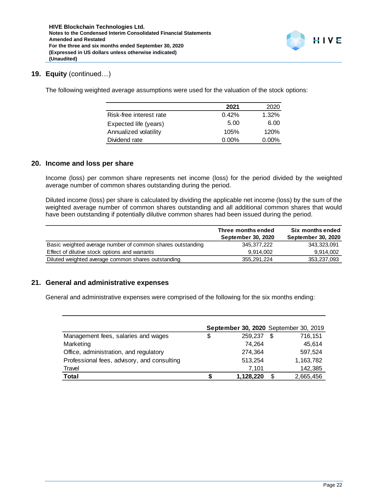

## **19. Equity** (continued…)

The following weighted average assumptions were used for the valuation of the stock options:

|                         | 2021     | 2020     |
|-------------------------|----------|----------|
| Risk-free interest rate | 0.42%    | $1.32\%$ |
| Expected life (years)   | 5.00     | 6.00     |
| Annualized volatility   | 105%     | 120%     |
| Dividend rate           | $0.00\%$ | $0.00\%$ |

#### **20. Income and loss per share**

Income (loss) per common share represents net income (loss) for the period divided by the weighted average number of common shares outstanding during the period.

Diluted income (loss) per share is calculated by dividing the applicable net income (loss) by the sum of the weighted average number of common shares outstanding and all additional common shares that would have been outstanding if potentially dilutive common shares had been issued during the period.

|                                                            | Three months ended        | Six months ended          |
|------------------------------------------------------------|---------------------------|---------------------------|
|                                                            | <b>September 30, 2020</b> | <b>September 30, 2020</b> |
| Basic weighted average number of common shares outstanding | 345.377.222               | 343.323.091               |
| Effect of dilutive stock options and warrants              | 9.914.002                 | 9,914,002                 |
| Diluted weighted average common shares outstanding         | 355,291,224               | 353,237,093               |

#### **21. General and administrative expenses**

General and administrative expenses were comprised of the following for the six months ending:

|                                             | <b>September 30, 2020</b> September 30, 2019 |           |   |           |
|---------------------------------------------|----------------------------------------------|-----------|---|-----------|
| Management fees, salaries and wages         | S                                            | 259.237   | S | 716,151   |
| Marketing                                   |                                              | 74.264    |   | 45.614    |
| Office, administration, and regulatory      |                                              | 274,364   |   | 597,524   |
| Professional fees, advisory, and consulting |                                              | 513,254   |   | 1,163,782 |
| Travel                                      |                                              | 7.101     |   | 142,385   |
| <b>Total</b>                                |                                              | 1,128,220 | S | 2,665,456 |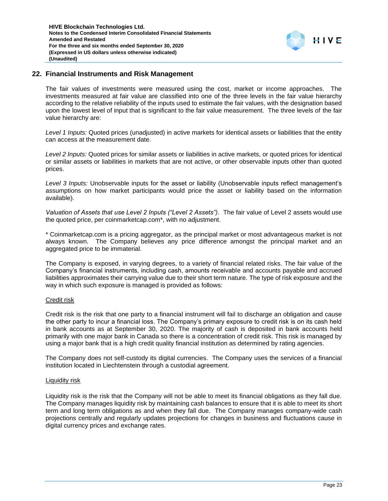# **22. Financial Instruments and Risk Management**

The fair values of investments were measured using the cost, market or income approaches. The investments measured at fair value are classified into one of the three levels in the fair value hierarchy according to the relative reliability of the inputs used to estimate the fair values, with the designation based upon the lowest level of input that is significant to the fair value measurement. The three levels of the fair value hierarchy are:

*Level 1 Inputs:* Quoted prices (unadjusted) in active markets for identical assets or liabilities that the entity can access at the measurement date.

*Level 2 Inputs:* Quoted prices for similar assets or liabilities in active markets, or quoted prices for identical or similar assets or liabilities in markets that are not active, or other observable inputs other than quoted prices.

*Level 3 Inputs:* Unobservable inputs for the asset or liability (Unobservable inputs reflect management's assumptions on how market participants would price the asset or liability based on the information available).

*Valuation of Assets that use Level 2 Inputs ("Level 2 Assets")*. The fair value of Level 2 assets would use the quoted price, per coinmarketcap.com\*, with no adjustment.

\* Coinmarketcap.com is a pricing aggregator, as the principal market or most advantageous market is not always known. The Company believes any price difference amongst the principal market and an aggregated price to be immaterial.

The Company is exposed, in varying degrees, to a variety of financial related risks. The fair value of the Company's financial instruments, including cash, amounts receivable and accounts payable and accrued liabilities approximates their carrying value due to their short term nature. The type of risk exposure and the way in which such exposure is managed is provided as follows:

#### Credit risk

Credit risk is the risk that one party to a financial instrument will fail to discharge an obligation and cause the other party to incur a financial loss. The Company's primary exposure to credit risk is on its cash held in bank accounts as at September 30, 2020. The majority of cash is deposited in bank accounts held primarily with one major bank in Canada so there is a concentration of credit risk. This risk is managed by using a major bank that is a high credit quality financial institution as determined by rating agencies.

The Company does not self-custody its digital currencies. The Company uses the services of a financial institution located in Liechtenstein through a custodial agreement.

#### Liquidity risk

Liquidity risk is the risk that the Company will not be able to meet its financial obligations as they fall due. The Company manages liquidity risk by maintaining cash balances to ensure that it is able to meet its short term and long term obligations as and when they fall due. The Company manages company-wide cash projections centrally and regularly updates projections for changes in business and fluctuations cause in digital currency prices and exchange rates.

HIVE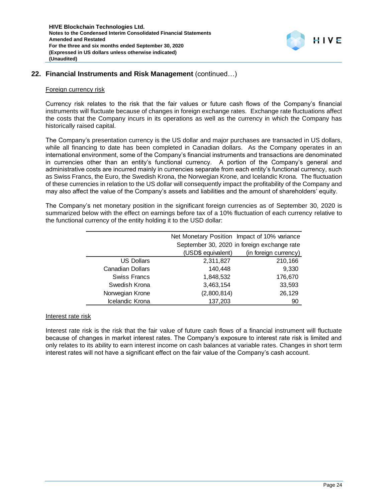

## **22. Financial Instruments and Risk Management** (continued…)

#### Foreign currency risk

Currency risk relates to the risk that the fair values or future cash flows of the Company's financial instruments will fluctuate because of changes in foreign exchange rates. Exchange rate fluctuations affect the costs that the Company incurs in its operations as well as the currency in which the Company has historically raised capital.

The Company's presentation currency is the US dollar and major purchases are transacted in US dollars, while all financing to date has been completed in Canadian dollars. As the Company operates in an international environment, some of the Company's financial instruments and transactions are denominated in currencies other than an entity's functional currency. A portion of the Company's general and administrative costs are incurred mainly in currencies separate from each entity's functional currency, such as Swiss Francs, the Euro, the Swedish Krona, the Norwegian Krone, and Icelandic Krona. The fluctuation of these currencies in relation to the US dollar will consequently impact the profitability of the Company and may also affect the value of the Company's assets and liabilities and the amount of shareholders' equity.

The Company's net monetary position in the significant foreign currencies as of September 30, 2020 is summarized below with the effect on earnings before tax of a 10% fluctuation of each currency relative to the functional currency of the entity holding it to the USD dollar:

|                         |                    | Net Monetary Position Impact of 10% variance |
|-------------------------|--------------------|----------------------------------------------|
|                         |                    | September 30, 2020 in foreign exchange rate  |
|                         | (USD\$ equivalent) | (in foreign currency)                        |
| <b>US Dollars</b>       | 2,311,827          | 210,166                                      |
| <b>Canadian Dollars</b> | 140,448            | 9,330                                        |
| <b>Swiss Francs</b>     | 1,848,532          | 176,670                                      |
| Swedish Krona           | 3,463,154          | 33,593                                       |
| Norwegian Krone         | (2,800,814)        | 26,129                                       |
| Icelandic Krona         | 137,203            | 90                                           |

#### Interest rate risk

Interest rate risk is the risk that the fair value of future cash flows of a financial instrument will fluctuate because of changes in market interest rates. The Company's exposure to interest rate risk is limited and only relates to its ability to earn interest income on cash balances at variable rates. Changes in short term interest rates will not have a significant effect on the fair value of the Company's cash account.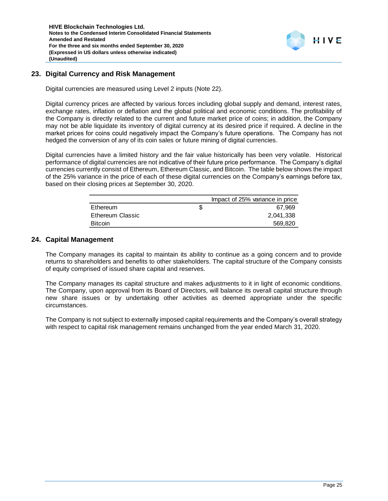

# **23. Digital Currency and Risk Management**

Digital currencies are measured using Level 2 inputs (Note 22).

Digital currency prices are affected by various forces including global supply and demand, interest rates, exchange rates, inflation or deflation and the global political and economic conditions. The profitability of the Company is directly related to the current and future market price of coins; in addition, the Company may not be able liquidate its inventory of digital currency at its desired price if required. A decline in the market prices for coins could negatively impact the Company's future operations. The Company has not hedged the conversion of any of its coin sales or future mining of digital currencies.

Digital currencies have a limited history and the fair value historically has been very volatile. Historical performance of digital currencies are not indicative of their future price performance. The Company's digital currencies currently consist of Ethereum, Ethereum Classic, and Bitcoin. The table below shows the impact of the 25% variance in the price of each of these digital currencies on the Company's earnings before tax, based on their closing prices at September 30, 2020.

|                  | Impact of 25% variance in price |
|------------------|---------------------------------|
| Ethereum         | 67.969                          |
| Ethereum Classic | 2,041,338                       |
| <b>Bitcoin</b>   | 569,820                         |

## **24. Capital Management**

The Company manages its capital to maintain its ability to continue as a going concern and to provide returns to shareholders and benefits to other stakeholders. The capital structure of the Company consists of equity comprised of issued share capital and reserves.

The Company manages its capital structure and makes adjustments to it in light of economic conditions. The Company, upon approval from its Board of Directors, will balance its overall capital structure through new share issues or by undertaking other activities as deemed appropriate under the specific circumstances.

The Company is not subject to externally imposed capital requirements and the Company's overall strategy with respect to capital risk management remains unchanged from the year ended March 31, 2020.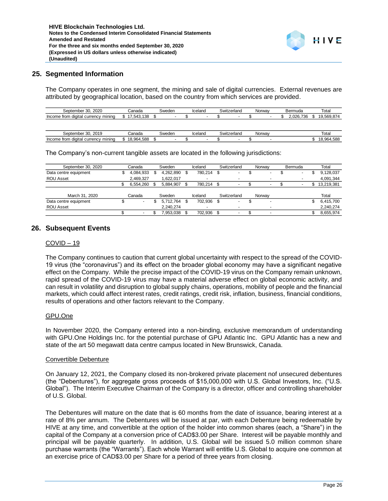

#### **25. Segmented Information**

The Company operates in one segment, the mining and sale of digital currencies. External revenues are attributed by geographical location, based on the country from which services are provided.

| September 30, 2020                  | Canada    | Sweden | Iceland                  | Switzerland | Norway                   | Bermuda  | Total      |
|-------------------------------------|-----------|--------|--------------------------|-------------|--------------------------|----------|------------|
| Income from digital currency mining | 1.543.138 |        | $\overline{\phantom{a}}$ | ۰           | $\overline{\phantom{a}}$ | .026.736 | 19.569.874 |
|                                     |           |        |                          |             |                          |          |            |
|                                     |           |        |                          |             |                          |          |            |
| September 30, 2019                  | Canada    | Sweden | Iceland                  | Switzerland | Norway                   |          | Total      |

| September 30, 2020                                                                                                                                                                                                                                                                                                                                                                                                                                                                                                                                                                                                                                                                                                                                                                                                                         | Canada                         | Sweden                       | Iceland       | Switzerland | Norway | Bermuda         | Total                         |
|--------------------------------------------------------------------------------------------------------------------------------------------------------------------------------------------------------------------------------------------------------------------------------------------------------------------------------------------------------------------------------------------------------------------------------------------------------------------------------------------------------------------------------------------------------------------------------------------------------------------------------------------------------------------------------------------------------------------------------------------------------------------------------------------------------------------------------------------|--------------------------------|------------------------------|---------------|-------------|--------|-----------------|-------------------------------|
| Income from digital currency mining                                                                                                                                                                                                                                                                                                                                                                                                                                                                                                                                                                                                                                                                                                                                                                                                        | \$17,543,138                   | \$                           | \$            | \$          | \$     | \$<br>2,026,736 | \$<br>19,569,874              |
|                                                                                                                                                                                                                                                                                                                                                                                                                                                                                                                                                                                                                                                                                                                                                                                                                                            |                                |                              |               |             |        |                 |                               |
| September 30, 2019                                                                                                                                                                                                                                                                                                                                                                                                                                                                                                                                                                                                                                                                                                                                                                                                                         | Canada                         | Sweden                       | Iceland       | Switzerland | Norway |                 | Total                         |
| Income from digital currency mining                                                                                                                                                                                                                                                                                                                                                                                                                                                                                                                                                                                                                                                                                                                                                                                                        | \$<br>18,964,588               | \$                           | \$            | \$          | \$     |                 | \$<br>18,964,588              |
| The Company's non-current tangible assets are located in the following jurisdictions:                                                                                                                                                                                                                                                                                                                                                                                                                                                                                                                                                                                                                                                                                                                                                      |                                |                              |               |             |        |                 |                               |
| September 30, 2020                                                                                                                                                                                                                                                                                                                                                                                                                                                                                                                                                                                                                                                                                                                                                                                                                         | Canada                         | Sweden                       | Iceland       | Switzerland | Norway | Bermuda         | Total                         |
| Data centre equipment                                                                                                                                                                                                                                                                                                                                                                                                                                                                                                                                                                                                                                                                                                                                                                                                                      | \$<br>4,084,933                | \$<br>4,262,890              | \$<br>780,214 | \$          | \$     | \$              | \$<br>9,128,037               |
| ROU Asset                                                                                                                                                                                                                                                                                                                                                                                                                                                                                                                                                                                                                                                                                                                                                                                                                                  | \$<br>2,469,327<br>6,554,260   | \$<br>1,622,017<br>5,884,907 | \$<br>780,214 | \$<br>ä,    | \$     | \$              | \$<br>4,091,344<br>13,219,381 |
|                                                                                                                                                                                                                                                                                                                                                                                                                                                                                                                                                                                                                                                                                                                                                                                                                                            |                                |                              |               |             |        |                 |                               |
| March 31, 2020                                                                                                                                                                                                                                                                                                                                                                                                                                                                                                                                                                                                                                                                                                                                                                                                                             | Canada                         | Sweden                       | Iceland       | Switzerland | Norway |                 | Total                         |
| Data centre equipment                                                                                                                                                                                                                                                                                                                                                                                                                                                                                                                                                                                                                                                                                                                                                                                                                      | \$                             | \$<br>5,712,764              | \$<br>702,936 | \$          | \$     |                 | \$<br>6,415,700               |
| ROU Asset                                                                                                                                                                                                                                                                                                                                                                                                                                                                                                                                                                                                                                                                                                                                                                                                                                  | \$<br>$\overline{\phantom{a}}$ | \$<br>2,240,274<br>7,953,038 | \$<br>702,936 | \$<br>ä,    | \$     |                 | \$<br>2,240,274<br>8,655,974  |
|                                                                                                                                                                                                                                                                                                                                                                                                                                                                                                                                                                                                                                                                                                                                                                                                                                            |                                |                              |               |             |        |                 |                               |
| <b>Subsequent Events</b>                                                                                                                                                                                                                                                                                                                                                                                                                                                                                                                                                                                                                                                                                                                                                                                                                   |                                |                              |               |             |        |                 |                               |
| <u>COVID – 19</u>                                                                                                                                                                                                                                                                                                                                                                                                                                                                                                                                                                                                                                                                                                                                                                                                                          |                                |                              |               |             |        |                 |                               |
| effect on the Company. While the precise impact of the COVID-19 virus on the Company remain unknown,<br>rapid spread of the COVID-19 virus may have a material adverse effect on global economic activity, and<br>can result in volatility and disruption to global supply chains, operations, mobility of people and the financial<br>markets, which could affect interest rates, credit ratings, credit risk, inflation, business, financial conditions,<br>results of operations and other factors relevant to the Company.<br>GPU.One<br>In November 2020, the Company entered into a non-binding, exclusive memorandum of understanding<br>with GPU.One Holdings Inc. for the potential purchase of GPU Atlantic Inc. GPU Atlantic has a new and<br>state of the art 50 megawatt data centre campus located in New Brunswick, Canada. |                                |                              |               |             |        |                 |                               |
| <b>Convertible Debenture</b>                                                                                                                                                                                                                                                                                                                                                                                                                                                                                                                                                                                                                                                                                                                                                                                                               |                                |                              |               |             |        |                 |                               |
| On January 12, 2021, the Company closed its non-brokered private placement nof unsecured debentures<br>(the "Debentures"), for aggregate gross proceeds of \$15,000,000 with U.S. Global Investors, Inc. ("U.S.<br>Global"). The Interim Executive Chairman of the Company is a director, officer and controlling shareholder<br>of U.S. Global.                                                                                                                                                                                                                                                                                                                                                                                                                                                                                           |                                |                              |               |             |        |                 |                               |
| The Debentures will mature on the date that is 60 months from the date of issuance, bearing interest at a<br>rate of 8% per annum. The Debentures will be issued at par, with each Debenture being redeemable by<br>HIVE at any time, and convertible at the option of the holder into common shares (each, a "Share") in the<br>capital of the Company at a conversion price of CAD\$3.00 per Share. Interest will be payable monthly and<br>principal will be payable quarterly. In addition, U.S. Global will be issued 5.0 million common share<br>purchase warrants (the "Warrants"). Each whole Warrant will entitle U.S. Global to acquire one common at<br>an exercise price of CAD\$3.00 per Share for a period of three years from closing.                                                                                      |                                |                              |               |             |        |                 |                               |

## **26. Subsequent Events**

#### COVID – 19

#### GPU.One

#### Convertible Debenture